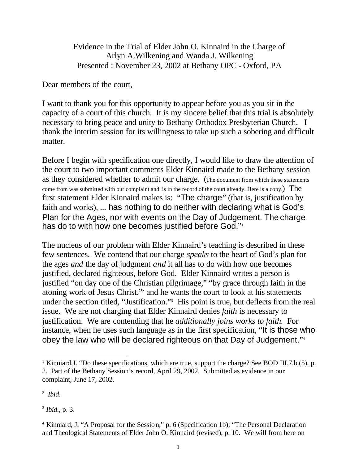Evidence in the Trial of Elder John O. Kinnaird in the Charge of Arlyn A.Wilkening and Wanda J. Wilkening Presented : November 23, 2002 at Bethany OPC - Oxford, PA

Dear members of the court,

I want to thank you for this opportunity to appear before you as you sit in the capacity of a court of this church. It is my sincere belief that this trial is absolutely necessary to bring peace and unity to Bethany Orthodox Presbyterian Church. I thank the interim session for its willingness to take up such a sobering and difficult matter.

Before I begin with specification one directly, I would like to draw the attention of the court to two important comments Elder Kinnaird made to the Bethany session as they considered whether to admit our charge. (The document from which these statements come from was submitted with our complaint and is in the record of the court already. Here is a copy.) The first statement Elder Kinnaird makes is: "The charge" (that is, justification by faith and works), ... has nothing to do neither with declaring what is God's Plan for the Ages, nor with events on the Day of Judgement. The charge has do to with how one becomes justified before God."<sup>1</sup>

The nucleus of our problem with Elder Kinnaird's teaching is described in these few sentences. We contend that our charge *speaks* to the heart of God's plan for the ages *and* the day of judgment *and* it all has to do with how one becomes justified, declared righteous, before God. Elder Kinnaird writes a person is justified "on day one of the Christian pilgrimage," "by grace through faith in the atoning work of Jesus Christ."<sup>2</sup> and he wants the court to look at his statements under the section titled, "Justification."<sup>3</sup> His point is true, but deflects from the real issue. We are not charging that Elder Kinnaird denies *faith* is necessary to justification. We are contending that he *additionally joins works to faith.* For instance, when he uses such language as in the first specification, "It is those who obey the law who will be declared righteous on that Day of Judgement." 4

l

3 *Ibid*., p. 3.

<sup>&</sup>lt;sup>1</sup> Kinniard, J. "Do these specifications, which are true, support the charge? See BOD III.7.b.(5), p. 2. Part of the Bethany Session's record, April 29, 2002. Submitted as evidence in our complaint, June 17, 2002.

<sup>2</sup> *Ibid*.

<sup>&</sup>lt;sup>4</sup> Kinniard, J. "A Proposal for the Session," p. 6 (Specification 1b); "The Personal Declaration and Theological Statements of Elder John O. Kinnaird (revised), p. 10. We will from here on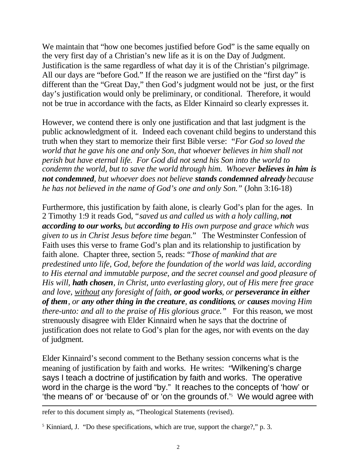We maintain that "how one becomes justified before God" is the same equally on the very first day of a Christian's new life as it is on the Day of Judgment. Justification is the same regardless of what day it is of the Christian's pilgrimage. All our days are "before God." If the reason we are justified on the "first day" is different than the "Great Day," then God's judgment would not be just, or the first day's justification would only be preliminary, or conditional. Therefore, it would not be true in accordance with the facts, as Elder Kinnaird so clearly expresses it.

However, we contend there is only one justification and that last judgment is the public acknowledgment of it. Indeed each covenant child begins to understand this truth when they start to memorize their first Bible verse: "*For God so loved the world that he gave his one and only Son, that whoever believes in him shall not perish but have eternal life. For God did not send his Son into the world to condemn the world, but to save the world through him. Whoever believes in him is not condemned, but whoever does not believe stands condemned already because he has not believed in the name of God's one and only Son."* (John 3:16-18)

Furthermore, this justification by faith alone, is clearly God's plan for the ages. In 2 Timothy 1:9 it reads God, "*saved us and called us with a holy calling, not according to our works, but according to His own purpose and grace which was given to us in Christ Jesus before time began.*" The Westminster Confession of Faith uses this verse to frame God's plan and its relationship to justification by faith alone. Chapter three, section 5, reads: "*Those of mankind that are predestined unto life, God, before the foundation of the world was laid, according to His eternal and immutable purpose, and the secret counsel and good pleasure of His will, hath chosen, in Christ, unto everlasting glory, out of His mere free grace and love, without any foresight of faith, or good works, or perseverance in either of them, or any other thing in the creature, as conditions, or causes moving Him there-unto: and all to the praise of His glorious grace.*" For this reason, we most strenuously disagree with Elder Kinnaird when he says that the doctrine of justification does not relate to God's plan for the ages, nor with events on the day of judgment.

Elder Kinnaird's second comment to the Bethany session concerns what is the meaning of justification by faith and works. He writes: "Wilkening's charge says I teach a doctrine of justification by faith and works. The operative word in the charge is the word "by." It reaches to the concepts of 'how' or 'the means of' or 'because of' or 'on the grounds of.'<sup>5</sup> We would agree with

l

refer to this document simply as, "Theological Statements (revised).

<sup>&</sup>lt;sup>5</sup> Kinniard, J. "Do these specifications, which are true, support the charge?," p. 3.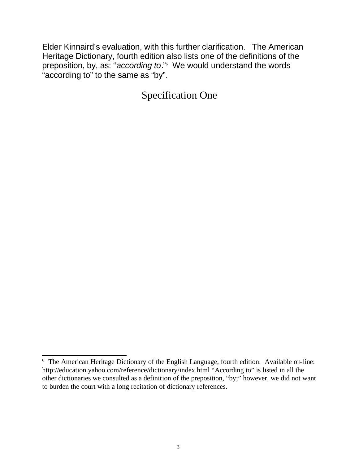Elder Kinnaird's evaluation, with this further clarification. The American Heritage Dictionary, fourth edition also lists one of the definitions of the preposition, by, as: "*according to*."<sup>6</sup> We would understand the words "according to" to the same as "by".

Specification One

<sup>&</sup>lt;sup>6</sup> The American Heritage Dictionary of the English Language, fourth edition. Available on-line: http://education.yahoo.com/reference/dictionary/index.html "According to" is listed in all the other dictionaries we consulted as a definition of the preposition, "by;" however, we did not want to burden the court with a long recitation of dictionary references.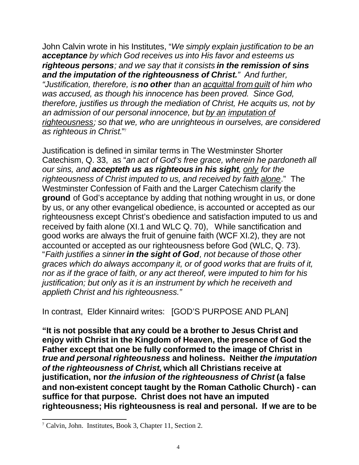John Calvin wrote in his Institutes, "*We simply explain justification to be an acceptance by which God receives us into His favor and esteems us righteous persons; and we say that it consists in the remission of sins and the imputation of the righteousness of Christ." And further, "Justification, therefore, is no other than an acquittal from guilt of him who was accused, as though his innocence has been proved. Since God, therefore, justifies us through the mediation of Christ, He acquits us, not by an admission of our personal innocence, but by an imputation of righteousness; so that we, who are unrighteous in ourselves, are considered as righteous in Christ*."<sup>7</sup>

Justification is defined in similar terms in The Westminster Shorter Catechism, Q. 33, as "*an act of God's free grace, wherein he pardoneth all our sins, and accepteth us as righteous in his sight, only for the righteousness of Christ imputed to us, and received by faith alone*." The Westminster Confession of Faith and the Larger Catechism clarify the **ground** of God's acceptance by adding that nothing wrought in us, or done by us, or any other evangelical obedience, is accounted or accepted as our righteousness except Christ's obedience and satisfaction imputed to us and received by faith alone (XI.1 and WLC Q. 70), While sanctification and good works are always the fruit of genuine faith (WCF XI.2), they are not accounted or accepted as our righteousness before God (WLC, Q, 73). "*Faith justifies a sinner in the sight of God, not because of those other graces which do always accompany it, or of good works that are fruits of it, nor as if the grace of faith, or any act thereof, were imputed to him for his justification; but only as it is an instrument by which he receiveth and applieth Christ and his righteousness."*

In contrast, Elder Kinnaird writes: [GOD'S PURPOSE AND PLAN]

**"It is not possible that any could be a brother to Jesus Christ and enjoy with Christ in the Kingdom of Heaven, the presence of God the Father except that one be fully conformed to the image of Christ in**  *true and personal righteousness* **and holiness. Neither** *the imputation of the righteousness of Christ***, which all Christians receive at justification, nor** *the infusion of the righteousness of Christ* **(a false and non-existent concept taught by the Roman Catholic Church) - can suffice for that purpose. Christ does not have an imputed righteousness; His righteousness is real and personal. If we are to be** 

l

<sup>7</sup> Calvin, John. Institutes, Book 3, Chapter 11, Section 2.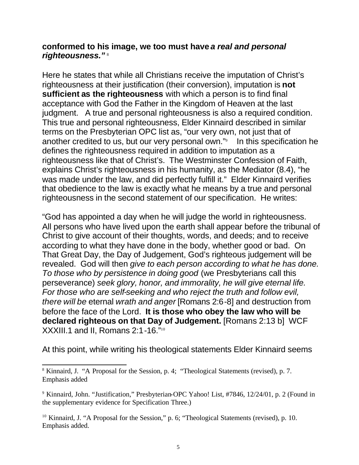### **conformed to his image, we too must have** *a real and personal righteousness."* <sup>8</sup>

Here he states that while all Christians receive the imputation of Christ's righteousness at their justification (their conversion), imputation is **not sufficient as the righteousness** with which a person is to find final acceptance with God the Father in the Kingdom of Heaven at the last judgment. A true and personal righteousness is also a required condition. This true and personal righteousness, Elder Kinnaird described in similar terms on the Presbyterian OPC list as, "our very own, not just that of another credited to us, but our very personal own."<sup>9</sup> In this specification he defines the righteousness required in addition to imputation as a righteousness like that of Christ's. The Westminster Confession of Faith, explains Christ's righteousness in his humanity, as the Mediator (8.4), "he was made under the law, and did perfectly fulfill it." Elder Kinnaird verifies that obedience to the law is exactly what he means by a true and personal righteousness in the second statement of our specification. He writes:

"God has appointed a day when he will judge the world in righteousness. All persons who have lived upon the earth shall appear before the tribunal of Christ to give account of their thoughts, words, and deeds; and to receive according to what they have done in the body, whether good or bad. On That Great Day, the Day of Judgement, God's righteous judgement will be revealed. God will then *give to each person according to what he has done. To those who by persistence in doing good* (we Presbyterians call this perseverance) *seek glory, honor, and immorality, he will give eternal life. For those who are self-seeking and who reject the truth and follow evil, there will be* eternal *wrath and anger* [Romans 2:6-8] and destruction from before the face of the Lord. **It is those who obey the law who will be declared righteous on that Day of Judgement.** [Romans 2:13 b] WCF XXXIII.1 and II, Romans 2:1-16."<sup>10</sup>

At this point, while writing his theological statements Elder Kinnaird seems

l

<sup>&</sup>lt;sup>8</sup> Kinnaird, J. "A Proposal for the Session, p. 4; "Theological Statements (revised), p. 7. Emphasis added

<sup>&</sup>lt;sup>9</sup> Kinnaird, John. "Justification," Presbyterian-OPC Yahoo! List, #7846, 12/24/01, p. 2 (Found in the supplementary evidence for Specification Three.)

<sup>&</sup>lt;sup>10</sup> Kinnaird, J. "A Proposal for the Session," p. 6; "Theological Statements (revised), p. 10. Emphasis added.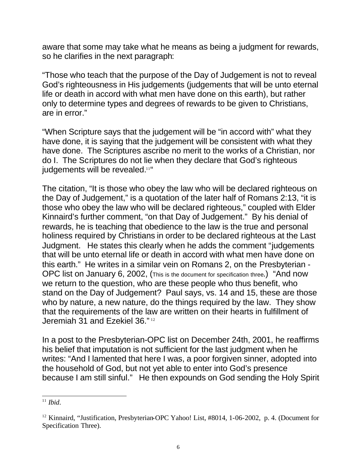aware that some may take what he means as being a judgment for rewards, so he clarifies in the next paragraph:

"Those who teach that the purpose of the Day of Judgement is not to reveal God's righteousness in His judgements (judgements that will be unto eternal life or death in accord with what men have done on this earth), but rather only to determine types and degrees of rewards to be given to Christians, are in error."

"When Scripture says that the judgement will be "in accord with" what they have done, it is saying that the judgement will be consistent with what they have done. The Scriptures ascribe no merit to the works of a Christian, nor do I. The Scriptures do not lie when they declare that God's righteous judgements will be revealed.<sup>11"</sup>

The citation, "It is those who obey the law who will be declared righteous on the Day of Judgement," is a quotation of the later half of Romans 2:13, "it is those who obey the law who will be declared righteous," coupled with Elder Kinnaird's further comment, "on that Day of Judgement." By his denial of rewards, he is teaching that obedience to the law is the true and personal holiness required by Christians in order to be declared righteous at the Last Judgment. He states this clearly when he adds the comment "judgements that will be unto eternal life or death in accord with what men have done on this earth." He writes in a similar vein on Romans 2, on the Presbyterian - OPC list on January 6, 2002, (This is the document for specification three.) "And now we return to the question, who are these people who thus benefit, who stand on the Day of Judgement? Paul says, vs. 14 and 15, these are those who by nature, a new nature, do the things required by the law. They show that the requirements of the law are written on their hearts in fulfillment of Jeremiah 31 and Ezekiel 36." <sup>12</sup>

In a post to the Presbyterian-OPC list on December 24th, 2001, he reaffirms his belief that imputation is not sufficient for the last judgment when he writes: "And I lamented that here I was, a poor forgiven sinner, adopted into the household of God, but not yet able to enter into God's presence because I am still sinful." He then expounds on God sending the Holy Spirit

l <sup>11</sup> *Ibid*.

<sup>&</sup>lt;sup>12</sup> Kinnaird, "Justification, Presbyterian-OPC Yahoo! List, #8014, 1-06-2002, p. 4. (Document for Specification Three).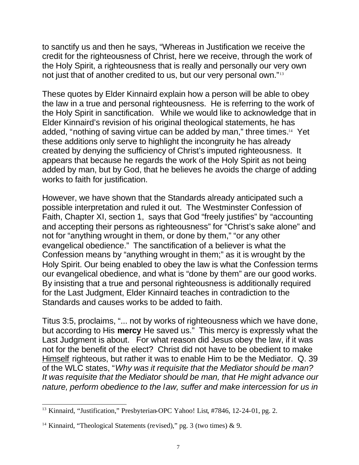to sanctify us and then he says, "Whereas in Justification we receive the credit for the righteousness of Christ, here we receive, through the work of the Holy Spirit, a righteousness that is really and personally our very own not just that of another credited to us, but our very personal own."<sup>13</sup>

These quotes by Elder Kinnaird explain how a person will be able to obey the law in a true and personal righteousness. He is referring to the work of the Holy Spirit in sanctification. While we would like to acknowledge that in Elder Kinnaird's revision of his original theological statements, he has added, "nothing of saving virtue can be added by man," three times.14 Yet these additions only serve to highlight the incongruity he has already created by denying the sufficiency of Christ's imputed righteousness. It appears that because he regards the work of the Holy Spirit as not being added by man, but by God, that he believes he avoids the charge of adding works to faith for justification.

However, we have shown that the Standards already anticipated such a possible interpretation and ruled it out. The Westminster Confession of Faith, Chapter XI, section 1, says that God "freely justifies" by "accounting and accepting their persons as righteousness" for "Christ's sake alone" and not for "anything wrought in them, or done by them," "or any other evangelical obedience." The sanctification of a believer is what the Confession means by "anything wrought in them;" as it is wrought by the Holy Spirit. Our being enabled to obey the law is what the Confession terms our evangelical obedience, and what is "done by them" are our good works. By insisting that a true and personal righteousness is additionally required for the Last Judgment, Elder Kinnaird teaches in contradiction to the Standards and causes works to be added to faith.

Titus 3:5, proclaims, "... not by works of righteousness which we have done, but according to His **mercy** He saved us." This mercy is expressly what the Last Judgment is about. For what reason did Jesus obey the law, if it was not for the benefit of the elect? Christ did not have to be obedient to make Himself righteous, but rather it was to enable Him to be the Mediator. Q. 39 of the WLC states, "*Why was it requisite that the Mediator should be man? It was requisite that the Mediator should be man, that He might advance our nature, perform obedience to the law, suffer and make intercession for us in* 

l <sup>13</sup> Kinnaird, "Justification," Presbyterian-OPC Yahoo! List, #7846, 12-24-01, pg. 2.

<sup>&</sup>lt;sup>14</sup> Kinnaird, "Theological Statements (revised)," pg. 3 (two times) & 9.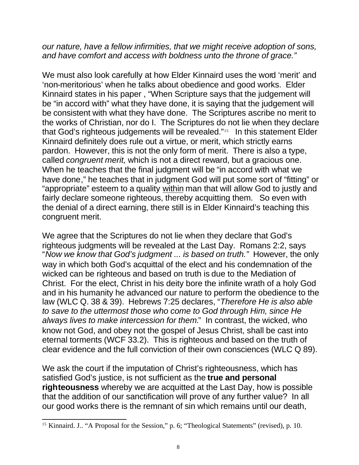*our nature, have a fellow infirmities, that we might receive adoption of sons, and have comfort and access with boldness unto the throne of grace."* 

We must also look carefully at how Elder Kinnaird uses the word 'merit' and 'non-meritorious' when he talks about obedience and good works. Elder Kinnaird states in his paper , "When Scripture says that the judgement will be "in accord with" what they have done, it is saying that the judgement will be consistent with what they have done. The Scriptures ascribe no merit to the works of Christian, nor do I. The Scriptures do not lie when they declare that God's righteous judgements will be revealed."15 In this statement Elder Kinnaird definitely does rule out a virtue, or merit, which strictly earns pardon. However, this is not the only form of merit. There is also a type, called *congruent merit,* which is not a direct reward, but a gracious one. When he teaches that the final judgment will be "in accord with what we have done," he teaches that in judgment God will put some sort of "fitting" or "appropriate" esteem to a quality within man that will allow God to justly and fairly declare someone righteous, thereby acquitting them. So even with the denial of a direct earning, there still is in Elder Kinnaird's teaching this congruent merit.

We agree that the Scriptures do not lie when they declare that God's righteous judgments will be revealed at the Last Day. Romans 2:2, says "*Now we know that God's judgment ... is based on truth."* However, the only way in which both God's acquittal of the elect and his condemnation of the wicked can be righteous and based on truth is due to the Mediation of Christ. For the elect, Christ in his deity bore the infinite wrath of a holy God and in his humanity he advanced our nature to perform the obedience to the law (WLC Q. 38 & 39). Hebrews 7:25 declares, "*Therefore He is also able to save to the uttermost those who come to God through Him, since He always lives to make intercession for them.*" In contrast, the wicked, who know not God, and obey not the gospel of Jesus Christ, shall be cast into eternal torments (WCF 33.2). This is righteous and based on the truth of clear evidence and the full conviction of their own consciences (WLC Q 89).

We ask the court if the imputation of Christ's righteousness, which has satisfied God's justice, is not sufficient as the **true and personal righteousness** whereby we are acquitted at the Last Day, how is possible that the addition of our sanctification will prove of any further value? In all our good works there is the remnant of sin which remains until our death,

l <sup>15</sup> Kinnaird. J.. "A Proposal for the Session," p. 6; "Theological Statements" (revised), p. 10.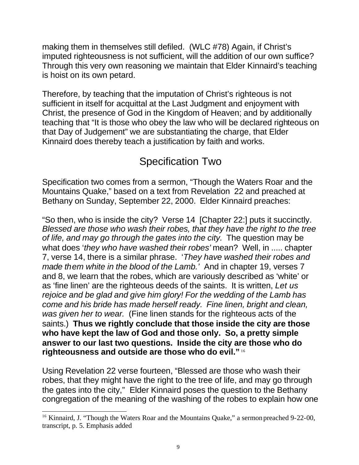making them in themselves still defiled. (WLC #78) Again, if Christ's imputed righteousness is not sufficient, will the addition of our own suffice? Through this very own reasoning we maintain that Elder Kinnaird's teaching is hoist on its own petard.

Therefore, by teaching that the imputation of Christ's righteous is not sufficient in itself for acquittal at the Last Judgment and enjoyment with Christ, the presence of God in the Kingdom of Heaven; and by additionally teaching that "It is those who obey the law who will be declared righteous on that Day of Judgement" we are substantiating the charge, that Elder Kinnaird does thereby teach a justification by faith and works.

# Specification Two

Specification two comes from a sermon, "Though the Waters Roar and the Mountains Quake," based on a text from Revelation 22 and preached at Bethany on Sunday, September 22, 2000. Elder Kinnaird preaches:

"So then, who is inside the city? Verse 14 [Chapter 22:] puts it succinctly. *Blessed are those who wash their robes, that they have the right to the tree of life, and may go through the gates into the city.* The question may be what does '*they who have washed their robes'* mean? Well, in ..... chapter 7, verse 14, there is a similar phrase. '*They have washed their robes and made them white in the blood of the Lamb.'* And in chapter 19, verses 7 and 8, we learn that the robes, which are variously described as 'white' or as 'fine linen' are the righteous deeds of the saints. It is written, *Let us rejoice and be glad and give him glory! For the wedding of the Lamb has come and his bride has made herself ready. Fine linen, bright and clean, was given her to wear.* (Fine linen stands for the righteous acts of the saints.) **Thus we rightly conclude that those inside the city are those who have kept the law of God and those only. So, a pretty simple answer to our last two questions. Inside the city are those who do righteousness and outside are those who do evil."** <sup>16</sup>

Using Revelation 22 verse fourteen, "Blessed are those who wash their robes, that they might have the right to the tree of life, and may go through the gates into the city," Elder Kinnaird poses the question to the Bethany congregation of the meaning of the washing of the robes to explain how one

l <sup>16</sup> Kinnaird, J. "Though the Waters Roar and the Mountains Quake," a sermon preached 9-22-00, transcript, p. 5. Emphasis added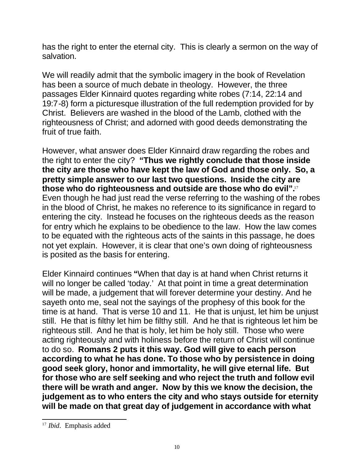has the right to enter the eternal city. This is clearly a sermon on the way of salvation.

We will readily admit that the symbolic imagery in the book of Revelation has been a source of much debate in theology. However, the three passages Elder Kinnaird quotes regarding white robes (7:14, 22:14 and 19:7-8) form a picturesque illustration of the full redemption provided for by Christ. Believers are washed in the blood of the Lamb, clothed with the righteousness of Christ; and adorned with good deeds demonstrating the fruit of true faith.

However, what answer does Elder Kinnaird draw regarding the robes and the right to enter the city? **"Thus we rightly conclude that those inside the city are those who have kept the law of God and those only. So, a pretty simple answer to our last two questions. Inside the city are those who do righteousness and outside are those who do evil".**<sup>17</sup> Even though he had just read the verse referring to the washing of the robes in the blood of Christ, he makes no reference to its significance in regard to entering the city. Instead he focuses on the righteous deeds as the reason for entry which he explains to be obedience to the law. How the law comes to be equated with the righteous acts of the saints in this passage, he does not yet explain. However, it is clear that one's own doing of righteousness is posited as the basis for entering.

Elder Kinnaird continues **"**When that day is at hand when Christ returns it will no longer be called 'today.' At that point in time a great determination will be made, a judgement that will forever determine your destiny. And he sayeth onto me, seal not the sayings of the prophesy of this book for the time is at hand. That is verse 10 and 11. He that is unjust, let him be unjust still. He that is filthy let him be filthy still. And he that is righteous let him be righteous still. And he that is holy, let him be holy still. Those who were acting righteously and with holiness before the return of Christ will continue to do so. **Romans 2 puts it this way. God will give to each person according to what he has done. To those who by persistence in doing good seek glory, honor and immortality, he will give eternal life. But for those who are self seeking and who reject the truth and follow evil there will be wrath and anger. Now by this we know the decision, the judgement as to who enters the city and who stays outside for eternity will be made on that great day of judgement in accordance with what** 

l <sup>17</sup> *Ibid*. Emphasis added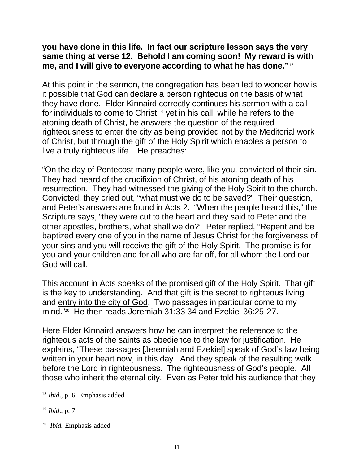### **you have done in this life. In fact our scripture lesson says the very same thing at verse 12. Behold I am coming soon! My reward is with me, and I will give to everyone according to what he has done."**<sup>18</sup>

At this point in the sermon, the congregation has been led to wonder how is it possible that God can declare a person righteous on the basis of what they have done. Elder Kinnaird correctly continues his sermon with a call for individuals to come to Christ;<sup>19</sup> yet in his call, while he refers to the atoning death of Christ, he answers the question of the required righteousness to enter the city as being provided not by the Meditorial work of Christ, but through the gift of the Holy Spirit which enables a person to live a truly righteous life. He preaches:

"On the day of Pentecost many people were, like you, convicted of their sin. They had heard of the crucifixion of Christ, of his atoning death of his resurrection. They had witnessed the giving of the Holy Spirit to the church. Convicted, they cried out, "what must we do to be saved?" Their question, and Peter's answers are found in Acts 2. "When the people heard this," the Scripture says, "they were cut to the heart and they said to Peter and the other apostles, brothers, what shall we do?" Peter replied, "Repent and be baptized every one of you in the name of Jesus Christ for the forgiveness of your sins and you will receive the gift of the Holy Spirit. The promise is for you and your children and for all who are far off, for all whom the Lord our God will call.

This account in Acts speaks of the promised gift of the Holy Spirit. That gift is the key to understanding. And that gift is the secret to righteous living and entry into the city of God. Two passages in particular come to my mind."<sup>20</sup> He then reads Jeremiah 31:33-34 and Ezekiel 36:25-27.

Here Elder Kinnaird answers how he can interpret the reference to the righteous acts of the saints as obedience to the law for justification. He explains, "These passages [Jeremiah and Ezekiel] speak of God's law being written in your heart now, in this day. And they speak of the resulting walk before the Lord in righteousness. The righteousness of God's people. All those who inherit the eternal city. Even as Peter told his audience that they

l <sup>18</sup> *Ibid*., p. 6. Emphasis added

<sup>19</sup> *Ibid*., p. 7.

<sup>20</sup> *Ibid.* Emphasis added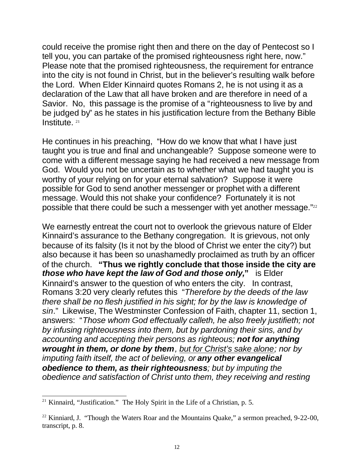could receive the promise right then and there on the day of Pentecost so I tell you, you can partake of the promised righteousness right here, now." Please note that the promised righteousness, the requirement for entrance into the city is not found in Christ, but in the believer's resulting walk before the Lord. When Elder Kinnaird quotes Romans 2, he is not using it as a declaration of the Law that all have broken and are therefore in need of a Savior. No, this passage is the promise of a "righteousness to live by and be judged by" as he states in his justification lecture from the Bethany Bible Institute.<sup>21</sup>

He continues in his preaching, "How do we know that what I have just taught you is true and final and unchangeable? Suppose someone were to come with a different message saying he had received a new message from God. Would you not be uncertain as to whether what we had taught you is worthy of your relying on for your eternal salvation? Suppose it were possible for God to send another messenger or prophet with a different message. Would this not shake your confidence? Fortunately it is not possible that there could be such a messenger with yet another message."22

We earnestly entreat the court not to overlook the grievous nature of Elder Kinnaird's assurance to the Bethany congregation. It is grievous, not only because of its falsity (Is it not by the blood of Christ we enter the city?) but also because it has been so unashamedly proclaimed as truth by an officer of the church. **"Thus we rightly conclude that those inside the city are**  *those who have kept the law of God and those only,***"** is Elder Kinnaird's answer to the question of who enters the city. In contrast, Romans 3:20 very clearly refutes this "*Therefore by the deeds of the law there shall be no flesh justified in his sight; for by the law is knowledge of sin*." Likewise, The Westminster Confession of Faith, chapter 11, section 1, answers: "*Those whom God effectually calleth, he also freely justifieth; not by infusing righteousness into them, but by pardoning their sins, and by accounting and accepting their persons as righteous; not for anything wrought in them, or done by them, but for Christ's sake alone; nor by imputing faith itself, the act of believing, or any other evangelical obedience to them, as their righteousness; but by imputing the obedience and satisfaction of Christ unto them, they receiving and resting* 

l  $21$  Kinnaird, "Justification." The Holy Spirit in the Life of a Christian, p. 5.

 $22$  Kinniard, J. "Though the Waters Roar and the Mountains Quake," a sermon preached, 9-22-00, transcript, p. 8.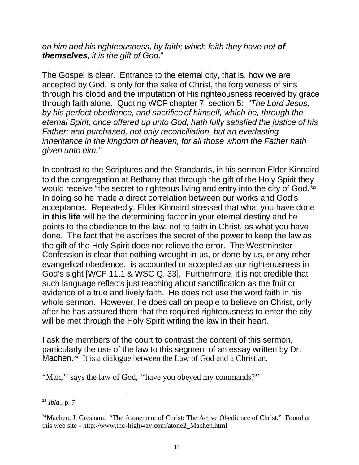*on him and his righteousness, by faith; which faith they have not of themselves, it is the gift of God*."

The Gospel is clear. Entrance to the eternal city, that is, how we are accepted by God, is only for the sake of Christ, the forgiveness of sins through his blood and the imputation of His righteousness received by grace through faith alone. Quoting WCF chapter 7, section 5: *"The Lord Jesus, by his perfect obedience, and sacrifice of himself, which he, through the eternal Spirit, once offered up unto God, hath fully satisfied the justice of his Father; and purchased, not only reconciliation, but an everlasting inheritance in the kingdom of heaven, for all those whom the Father hath given unto him."*

In contrast to the Scriptures and the Standards, in his sermon Elder Kinnaird told the congregation at Bethany that through the gift of the Holy Spirit they would receive "the secret to righteous living and entry into the city of God." $^{23}$ In doing so he made a direct correlation between our works and God's acceptance. Repeatedly, Elder Kinnaird stressed that what you have done **in this life** will be the determining factor in your eternal destiny and he points to the obedience to the law, not to faith in Christ, as what you have done. The fact that he ascribes the secret of the power to keep the law as the gift of the Holy Spirit does not relieve the error. The Westminster Confession is clear that nothing wrought in us, or done by us, or any other evangelical obedience, is accounted or accepted as our righteousness in God's sight [WCF 11.1 & WSC Q. 33]. Furthermore, it is not credible that such language reflects just teaching about sanctification as the fruit or evidence of a true and lively faith. He does not use the word faith in his whole sermon. However, he does call on people to believe on Christ, only after he has assured them that the required righteousness to enter the city will be met through the Holy Spirit writing the law in their heart.

I ask the members of the court to contrast the content of this sermon, particularly the use of the law to this segment of an essay written by Dr. Machen.<sup>24</sup> It is a dialogue between the Law of God and a Christian.

"Man," says the law of God, "have you obeyed my commands?"

l <sup>23</sup> *Ibid.*, p. 7.

<sup>&</sup>lt;sup>24</sup>Machen, J. Gresham. "The Atonement of Christ: The Active Obedience of Christ." Found at this web site - http://www.the-highway.com/atone2\_Machen.html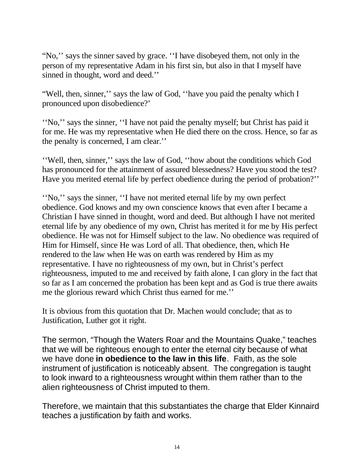"No,'' says the sinner saved by grace. ''I have disobeyed them, not only in the person of my representative Adam in his first sin, but also in that I myself have sinned in thought, word and deed.''

"Well, then, sinner,'' says the law of God, ''have you paid the penalty which I pronounced upon disobedience?'

''No,'' says the sinner, ''I have not paid the penalty myself; but Christ has paid it for me. He was my representative when He died there on the cross. Hence, so far as the penalty is concerned, I am clear.''

''Well, then, sinner,'' says the law of God, ''how about the conditions which God has pronounced for the attainment of assured blessedness? Have you stood the test? Have you merited eternal life by perfect obedience during the period of probation?''

''No,'' says the sinner, ''I have not merited eternal life by my own perfect obedience. God knows and my own conscience knows that even after I became a Christian I have sinned in thought, word and deed. But although I have not merited eternal life by any obedience of my own, Christ has merited it for me by His perfect obedience. He was not for Himself subject to the law. No obedience was required of Him for Himself, since He was Lord of all. That obedience, then, which He rendered to the law when He was on earth was rendered by Him as my representative. I have no righteousness of my own, but in Christ's perfect righteousness, imputed to me and received by faith alone, I can glory in the fact that so far as I am concerned the probation has been kept and as God is true there awaits me the glorious reward which Christ thus earned for me.''

It is obvious from this quotation that Dr. Machen would conclude; that as to Justification, Luther got it right.

The sermon, "Though the Waters Roar and the Mountains Quake," teaches that we will be righteous enough to enter the eternal city because of what we have done **in obedience to the law in this life**. Faith, as the sole instrument of justification is noticeably absent. The congregation is taught to look inward to a righteousness wrought within them rather than to the alien righteousness of Christ imputed to them.

Therefore, we maintain that this substantiates the charge that Elder Kinnaird teaches a justification by faith and works.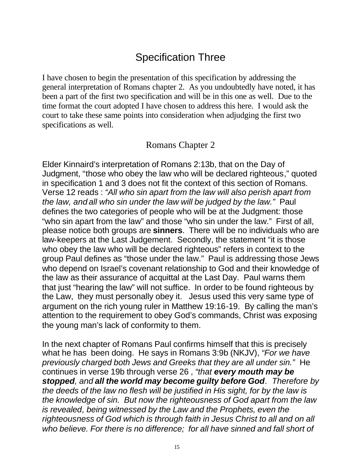## Specification Three

I have chosen to begin the presentation of this specification by addressing the general interpretation of Romans chapter 2. As you undoubtedly have noted, it has been a part of the first two specification and will be in this one as well. Due to the time format the court adopted I have chosen to address this here. I would ask the court to take these same points into consideration when adjudging the first two specifications as well.

### Romans Chapter 2

Elder Kinnaird's interpretation of Romans 2:13b, that on the Day of Judgment, "those who obey the law who will be declared righteous," quoted in specification 1 and 3 does not fit the context of this section of Romans. Verse 12 reads : *"All who sin apart from the law will also perish apart from the law, and all who sin under the law will be judged by the law."* Paul defines the two categories of people who will be at the Judgment: those "who sin apart from the law" and those "who sin under the law." First of all, please notice both groups are **sinners**. There will be no individuals who are law-keepers at the Last Judgement. Secondly, the statement "it is those who obey the law who will be declared righteous" refers in context to the group Paul defines as "those under the law." Paul is addressing those Jews who depend on Israel's covenant relationship to God and their knowledge of the law as their assurance of acquittal at the Last Day. Paul warns them that just "hearing the law" will not suffice. In order to be found righteous by the Law, they must personally obey it. Jesus used this very same type of argument on the rich young ruler in Matthew 19:16-19. By calling the man's attention to the requirement to obey God's commands, Christ was exposing the young man's lack of conformity to them.

In the next chapter of Romans Paul confirms himself that this is precisely what he has been doing. He says in Romans 3:9b (NKJV), *"For we have previously charged both Jews and Greeks that they are all under sin."* He continues in verse 19b through verse 26 , *"that every mouth may be stopped, and all the world may become guilty before God. Therefore by the deeds of the law no flesh will be justified in His sight, for by the law is the knowledge of sin. But now the righteousness of God apart from the law is revealed, being witnessed by the Law and the Prophets, even the righteousness of God which is through faith in Jesus Christ to all and on all who believe. For there is no difference; for all have sinned and fall short of*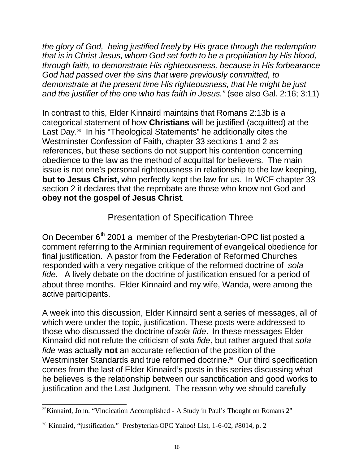*the glory of God, being justified freely by His grace through the redemption that is in Christ Jesus, whom God set forth to be a propitiation by His blood, through faith, to demonstrate His righteousness, because in His forbearance God had passed over the sins that were previously committed, to demonstrate at the present time His righteousness, that He might be just and the justifier of the one who has faith in Jesus."* (see also Gal. 2:16; 3:11)

In contrast to this, Elder Kinnaird maintains that Romans 2:13b is a categorical statement of how **Christians** will be justified (acquitted) at the Last Day.<sup>25</sup> In his "Theological Statements" he additionally cites the Westminster Confession of Faith, chapter 33 sections 1 and 2 as references, but these sections do not support his contention concerning obedience to the law as the method of acquittal for believers. The main issue is not one's personal righteousness in relationship to the law keeping, **but to Jesus Christ,** who perfectly kept the law for us. In WCF chapter 33 section 2 it declares that the reprobate are those who know not God and **obey not the gospel of Jesus Christ**.

### Presentation of Specification Three

On December  $6<sup>th</sup>$  2001 a member of the Presbyterian-OPC list posted a comment referring to the Arminian requirement of evangelical obedience for final justification. A pastor from the Federation of Reformed Churches responded with a very negative critique of the reformed doctrine of *sola fide.* A lively debate on the doctrine of justification ensued for a period of about three months. Elder Kinnaird and my wife, Wanda, were among the active participants.

A week into this discussion, Elder Kinnaird sent a series of messages, all of which were under the topic, justification. These posts were addressed to those who discussed the doctrine of *sola fide*. In these messages Elder Kinnaird did not refute the criticism of *sola fide*, but rather argued that *sola fide* was actually **not** an accurate reflection of the position of the Westminster Standards and true reformed doctrine.<sup>26</sup> Our third specification comes from the last of Elder Kinnaird's posts in this series discussing what he believes is the relationship between our sanctification and good works to justification and the Last Judgment. The reason why we should carefully

l <sup>25</sup>Kinnaird, John. "Vindication Accomplished - A Study in Paul's Thought on Romans 2"

<sup>&</sup>lt;sup>26</sup> Kinnaird, "justification." Presbyterian-OPC Yahoo! List, 1-6-02, #8014, p. 2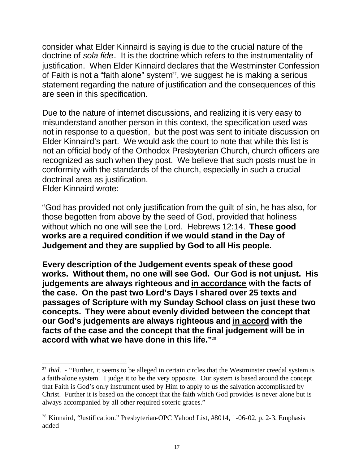consider what Elder Kinnaird is saying is due to the crucial nature of the doctrine of *sola fide*. It is the doctrine which refers to the instrumentality of justification. When Elder Kinnaird declares that the Westminster Confession of Faith is not a "faith alone" system $27$ , we suggest he is making a serious statement regarding the nature of justification and the consequences of this are seen in this specification.

Due to the nature of internet discussions, and realizing it is very easy to misunderstand another person in this context, the specification used was not in response to a question, but the post was sent to initiate discussion on Elder Kinnaird's part. We would ask the court to note that while this list is not an official body of the Orthodox Presbyterian Church, church officers are recognized as such when they post. We believe that such posts must be in conformity with the standards of the church, especially in such a crucial doctrinal area as justification. Elder Kinnaird wrote:

"God has provided not only justification from the guilt of sin, he has also, for those begotten from above by the seed of God, provided that holiness without which no one will see the Lord. Hebrews 12:14. **These good works are a required condition if we would stand in the Day of Judgement and they are supplied by God to all His people.**

**Every description of the Judgement events speak of these good works. Without them, no one will see God. Our God is not unjust. His judgements are always righteous and in accordance with the facts of the case. On the past two Lord's Days I shared over 25 texts and passages of Scripture with my Sunday School class on just these two concepts. They were about evenly divided between the concept that our God's judgements are always righteous and in accord with the facts of the case and the concept that the final judgement will be in accord with what we have done in this life."**<sup>28</sup>

l <sup>27</sup> *Ibid.* - "Further, it seems to be alleged in certain circles that the Westminster creedal system is a faith-alone system. I judge it to be the very opposite. Our system is based around the concept that Faith is God's only instrument used by Him to apply to us the salvation accomplished by Christ. Further it is based on the concept that the faith which God provides is never alone but is always accompanied by all other required soteric graces."

<sup>&</sup>lt;sup>28</sup> Kinnaird, "Justification." Presbyterian-OPC Yahoo! List, #8014, 1-06-02, p. 2-3. Emphasis added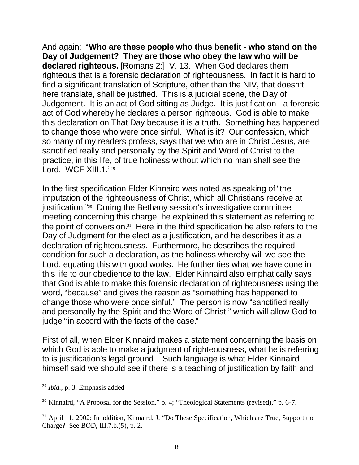And again: "**Who are these people who thus benefit - who stand on the Day of Judgement? They are those who obey the law who will be declared righteous.** [Romans 2:] V. 13. When God declares them righteous that is a forensic declaration of righteousness. In fact it is hard to find a significant translation of Scripture, other than the NIV, that doesn't here translate, shall be justified. This is a judicial scene, the Day of Judgement. It is an act of God sitting as Judge. It is justification - a forensic act of God whereby he declares a person righteous. God is able to make this declaration on That Day because it is a truth. Something has happened to change those who were once sinful. What is it? Our confession, which so many of my readers profess, says that we who are in Christ Jesus, are sanctified really and personally by the Spirit and Word of Christ to the practice, in this life, of true holiness without which no man shall see the Lord. WCF XIII.1."29

In the first specification Elder Kinnaird was noted as speaking of "the imputation of the righteousness of Christ, which all Christians receive at justification."30 During the Bethany session's investigative committee meeting concerning this charge, he explained this statement as referring to the point of conversion. $31$  Here in the third specification he also refers to the Day of Judgment for the elect as a justification, and he describes it as a declaration of righteousness. Furthermore, he describes the required condition for such a declaration, as the holiness whereby will we see the Lord, equating this with good works. He further ties what we have done in this life to our obedience to the law. Elder Kinnaird also emphatically says that God is able to make this forensic declaration of righteousness using the word, "because" and gives the reason as "something has happened to change those who were once sinful." The person is now "sanctified really and personally by the Spirit and the Word of Christ." which will allow God to judge "in accord with the facts of the case."

First of all, when Elder Kinnaird makes a statement concerning the basis on which God is able to make a judgment of righteousness, what he is referring to is justification's legal ground. Such language is what Elder Kinnaird himself said we should see if there is a teaching of justification by faith and

l <sup>29</sup> *Ibid.*, p. 3. Emphasis added

<sup>&</sup>lt;sup>30</sup> Kinnaird, "A Proposal for the Session," p. 4; "Theological Statements (revised)," p. 6-7.

<sup>&</sup>lt;sup>31</sup> April 11, 2002; In addition, Kinnaird, J. "Do These Specification, Which are True, Support the Charge? See BOD, III.7.b.(5), p. 2.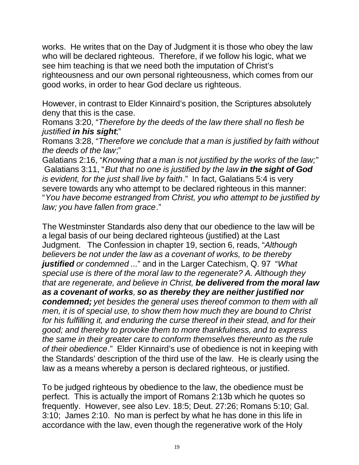works. He writes that on the Day of Judgment it is those who obey the law who will be declared righteous. Therefore, if we follow his logic, what we see him teaching is that we need both the imputation of Christ's righteousness and our own personal righteousness, which comes from our good works, in order to hear God declare us righteous.

However, in contrast to Elder Kinnaird's position, the Scriptures absolutely deny that this is the case.

Romans 3:20, "*Therefore by the deeds of the law there shall no flesh be justified in his sight*;"

Romans 3:28, "*Therefore we conclude that a man is justified by faith without the deeds of the law*;"

Galatians 2:16, "*Knowing that a man is not justified by the works of the law;"* Galatians 3:11, "*But that no one is justified by the law in the sight of God is evident, for the just shall live by faith*." In fact, Galatians 5:4 is very severe towards any who attempt to be declared righteous in this manner: "*You have become estranged from Christ, you who attempt to be justified by law; you have fallen from grace*."

The Westminster Standards also deny that our obedience to the law will be a legal basis of our being declared righteous (justified) at the Last Judgment. The Confession in chapter 19, section 6, reads, "*Although believers be not under the law as a covenant of works, to be thereby justified or condemned ...*" and in the Larger Catechism, Q. 97 "*What special use is there of the moral law to the regenerate? A. Although they that are regenerate, and believe in Christ, be delivered from the moral law as a covenant of works, so as thereby they are neither justified nor condemned; yet besides the general uses thereof common to them with all men, it is of special use, to show them how much they are bound to Christ for his fulfilling it, and enduring the curse thereof in their stead, and for their good; and thereby to provoke them to more thankfulness, and to express the same in their greater care to conform themselves thereunto as the rule of their obedience*." Elder Kinnaird's use of obedience is not in keeping with the Standards' description of the third use of the law. He is clearly using the law as a means whereby a person is declared righteous, or justified.

To be judged righteous by obedience to the law, the obedience must be perfect. This is actually the import of Romans 2:13b which he quotes so frequently. However, see also Lev. 18:5; Deut. 27:26; Romans 5:10; Gal. 3:10; James 2:10. No man is perfect by what he has done in this life in accordance with the law, even though the regenerative work of the Holy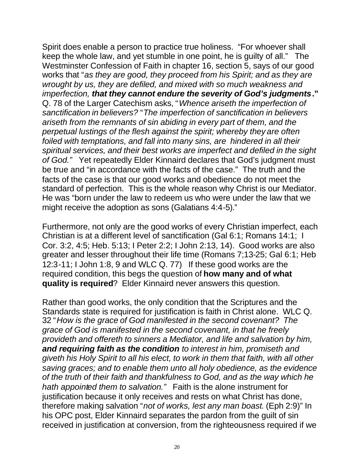Spirit does enable a person to practice true holiness. "For whoever shall keep the whole law, and yet stumble in one point, he is guilty of all." The Westminster Confession of Faith in chapter 16, section 5, says of our good works that "*as they are good, they proceed from his Spirit; and as they are wrought by us, they are defiled, and mixed with so much weakness and imperfection, that they cannot endure the severity of God's judgments***."** Q. 78 of the Larger Catechism asks, "*Whence ariseth the imperfection of sanctification in believers?* "*The imperfection of sanctification in believers ariseth from the remnants of sin abiding in every part of them, and the perpetual lustings of the flesh against the spirit; whereby they are often foiled with temptations, and fall into many sins, are hindered in all their spiritual services, and their best works are imperfect and defiled in the sight of God."* Yet repeatedly Elder Kinnaird declares that God's judgment must be true and "in accordance with the facts of the case." The truth and the facts of the case is that our good works and obedience do not meet the standard of perfection. This is the whole reason why Christ is our Mediator. He was "born under the law to redeem us who were under the law that we might receive the adoption as sons (Galatians 4:4-5)."

Furthermore, not only are the good works of every Christian imperfect, each Christian is at a different level of sanctification (Gal 6:1; Romans 14:1; I Cor. 3:2, 4:5; Heb. 5:13; I Peter 2:2; I John 2:13, 14). Good works are also greater and lesser throughout their life time (Romans 7;13-25; Gal 6:1; Heb 12:3-11; I John 1:8, 9 and WLC Q. 77) If these good works are the required condition, this begs the question of **how many and of what quality is required**? Elder Kinnaird never answers this question.

Rather than good works, the only condition that the Scriptures and the Standards state is required for justification is faith in Christ alone. WLC Q. 32 "*How is the grace of God manifested in the second covenant? The grace of God is manifested in the second covenant, in that he freely provideth and offereth to sinners a Mediator, and life and salvation by him, and requiring faith as the condition to interest in him, promiseth and giveth his Holy Spirit to all his elect, to work in them that faith, with all other saving graces; and to enable them unto all holy obedience, as the evidence of the truth of their faith and thankfulness to God, and as the way which he hath appointed them to salvation."* Faith is the alone instrument for justification because it only receives and rests on what Christ has done, therefore making salvation "*not of works, lest any man boast*. (Eph 2:9)" In his OPC post, Elder Kinnaird separates the pardon from the guilt of sin received in justification at conversion, from the righteousness required if we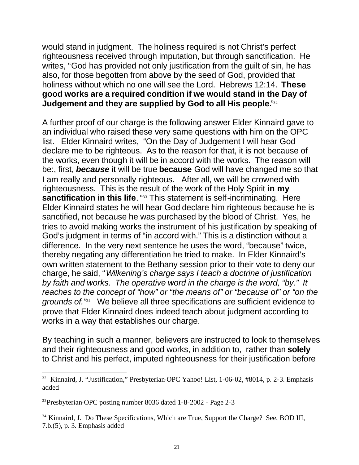would stand in judgment. The holiness required is not Christ's perfect righteousness received through imputation, but through sanctification. He writes, "God has provided not only justification from the guilt of sin, he has also, for those begotten from above by the seed of God, provided that holiness without which no one will see the Lord. Hebrews 12:14. **These good works are a required condition if we would stand in the Day of Judgement and they are supplied by God to all His people.**" 32

A further proof of our charge is the following answer Elder Kinnaird gave to an individual who raised these very same questions with him on the OPC list. Elder Kinnaird writes, "On the Day of Judgement I will hear God declare me to be righteous. As to the reason for that, it is not because of the works, even though it will be in accord with the works. The reason will be:, first, *because* it will be true **because** God will have changed me so that I am really and personally righteous. After all, we will be crowned with righteousness. This is the result of the work of the Holy Spirit **in my sanctification in this life**. "<sup>33</sup> This statement is self-incriminating. Here Elder Kinnaird states he will hear God declare him righteous because he is sanctified, not because he was purchased by the blood of Christ. Yes, he tries to avoid making works the instrument of his justification by speaking of God's judgment in terms of "in accord with." This is a distinction without a difference. In the very next sentence he uses the word, "because" twice, thereby negating any differentiation he tried to make. In Elder Kinnaird's own written statement to the Bethany session prior to their vote to deny our charge, he said, "*Wilkening's charge says I teach a doctrine of justification by faith and works. The operative word in the charge is the word, "by." It reaches to the concept of "how" or "the means of" or "because of" or "on the grounds of."*34 We believe all three specifications are sufficient evidence to prove that Elder Kinnaird does indeed teach about judgment according to works in a way that establishes our charge.

By teaching in such a manner, believers are instructed to look to themselves and their righteousness and good works, in addition to, rather than **solely** to Christ and his perfect, imputed righteousness for their justification before

l

<sup>&</sup>lt;sup>32</sup> Kinnaird, J. "Justification," Presbyterian-OPC Yahoo! List, 1-06-02, #8014, p. 2-3. Emphasis added

<sup>33</sup>Presbyterian-OPC posting number 8036 dated 1-8-2002 - Page 2-3

<sup>&</sup>lt;sup>34</sup> Kinnaird, J. Do These Specifications, Which are True, Support the Charge? See, BOD III, 7.b.(5), p. 3. Emphasis added